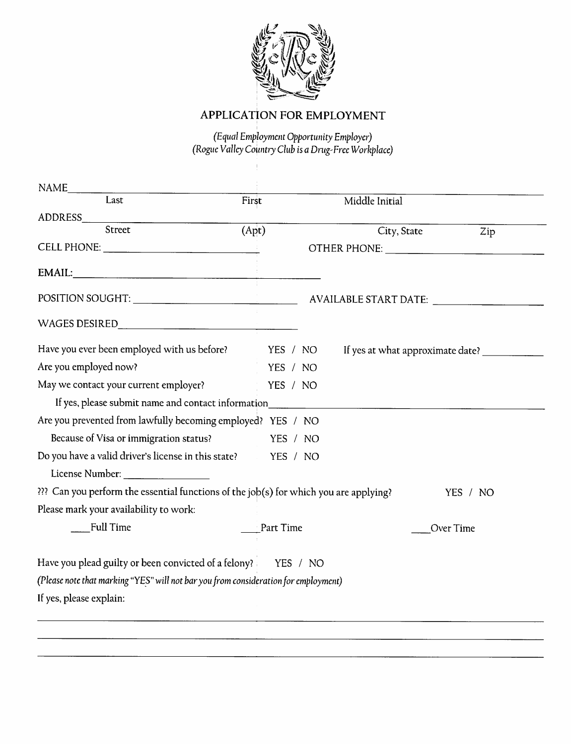

# *APPLICATION FOR EMPLOYMENT*

**(Equal Employment Opportunity Employer) (Rogue Valley Country Club is aDrug-Eree Workplace)**

| NAME<br>Last                                                                                                                                                                                                                   |       |           |                |                                  |
|--------------------------------------------------------------------------------------------------------------------------------------------------------------------------------------------------------------------------------|-------|-----------|----------------|----------------------------------|
|                                                                                                                                                                                                                                | First |           | Middle Initial |                                  |
| ADDRESS AND THE STATE OF THE STATE OF THE STATE OF THE STATE OF THE STATE OF THE STATE OF THE STATE OF THE STATE OF THE STATE OF THE STATE OF THE STATE OF THE STATE OF THE STATE OF THE STATE OF THE STATE OF THE STATE OF TH |       |           |                |                                  |
| Street                                                                                                                                                                                                                         | (Apt) |           | City, State    | Zip                              |
|                                                                                                                                                                                                                                |       |           |                |                                  |
|                                                                                                                                                                                                                                |       |           |                |                                  |
|                                                                                                                                                                                                                                |       |           |                |                                  |
|                                                                                                                                                                                                                                |       |           |                |                                  |
| Have you ever been employed with us before? YES / NO                                                                                                                                                                           |       |           |                | If yes at what approximate date? |
| Are you employed now?                                                                                                                                                                                                          |       | YES / NO  |                |                                  |
| May we contact your current employer?                                                                                                                                                                                          |       | YES / NO  |                |                                  |
| If yes, please submit name and contact information                                                                                                                                                                             |       |           |                |                                  |
| Are you prevented from lawfully becoming employed? YES / NO                                                                                                                                                                    |       |           |                |                                  |
| Because of Visa or immigration status?                                                                                                                                                                                         |       | YES / NO  |                |                                  |
| Do you have a valid driver's license in this state? YES / NO                                                                                                                                                                   |       |           |                |                                  |
|                                                                                                                                                                                                                                |       |           |                |                                  |
| ??? Can you perform the essential functions of the job(s) for which you are applying?                                                                                                                                          |       |           |                | YES / NO                         |
| Please mark your availability to work:                                                                                                                                                                                         |       |           |                |                                  |
| Full Time                                                                                                                                                                                                                      |       | Part Time |                | Over Time                        |
| Have you plead guilty or been convicted of a felony? YES / NO                                                                                                                                                                  |       |           |                |                                  |
| (Please note that marking "YES" will not bar you from consideration for employment)                                                                                                                                            |       |           |                |                                  |
| If yes, please explain:                                                                                                                                                                                                        |       |           |                |                                  |
|                                                                                                                                                                                                                                |       |           |                |                                  |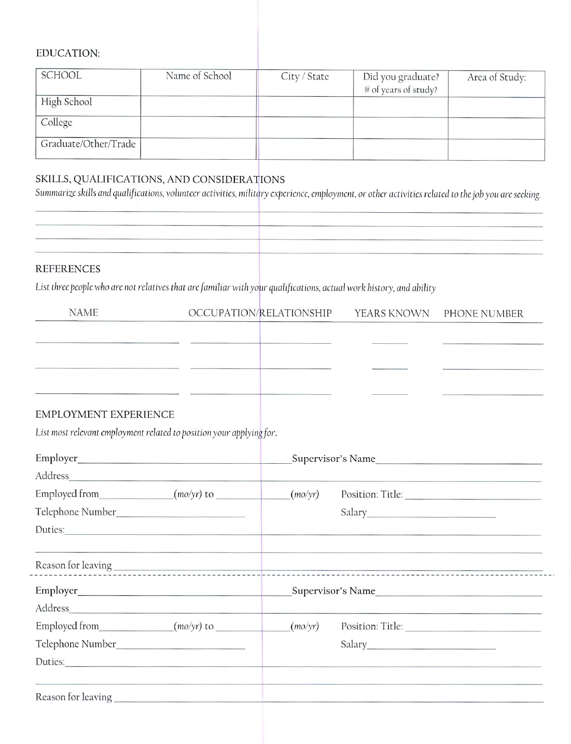### EDUCATION:

| SCHOOL               | Name of School | City / State | Did you graduate?<br># of years of study? | Area of Study: |
|----------------------|----------------|--------------|-------------------------------------------|----------------|
| High School          |                |              |                                           |                |
| College              |                |              |                                           |                |
| Graduate/Other/Trade |                |              |                                           |                |

## SKILLS, QUALIFICATIONS, AND CONSIDERATIONS

Summarize skills and qualifications, volunteer activities, military experience, employment, or other activities related to the job you are seeking.

| <b>DEEEDEMCES</b> |  |
|-------------------|--|

#### REFERENCES

List three people who are not relatives that are familiar with your qualifications, actual work history, and ability

| <b>NAME</b> | OCCUPATION/RELATIONSHIP | YEARS KNOWN PHONE NUMBER |
|-------------|-------------------------|--------------------------|
|             |                         |                          |
|             |                         |                          |
|             |                         |                          |
|             |                         |                          |

### EMPLOYMENT EXPERIENCE

List most **relevant employment related to position your applying[or.**

|                            | Supervisor's Name |                                                                                                                 |
|----------------------------|-------------------|-----------------------------------------------------------------------------------------------------------------|
|                            |                   |                                                                                                                 |
|                            | (mo/yr)           |                                                                                                                 |
|                            |                   |                                                                                                                 |
| Duties:                    |                   |                                                                                                                 |
|                            |                   |                                                                                                                 |
|                            |                   |                                                                                                                 |
|                            |                   | Supervisor's Name                                                                                               |
|                            |                   |                                                                                                                 |
| Employed from $(mo/yr)$ to | (mo/yr)           |                                                                                                                 |
|                            |                   |                                                                                                                 |
| Duties:                    |                   |                                                                                                                 |
|                            |                   | e de la construcción de la construcción de la construcción de la construcción de la construcción establece de l |
|                            |                   |                                                                                                                 |